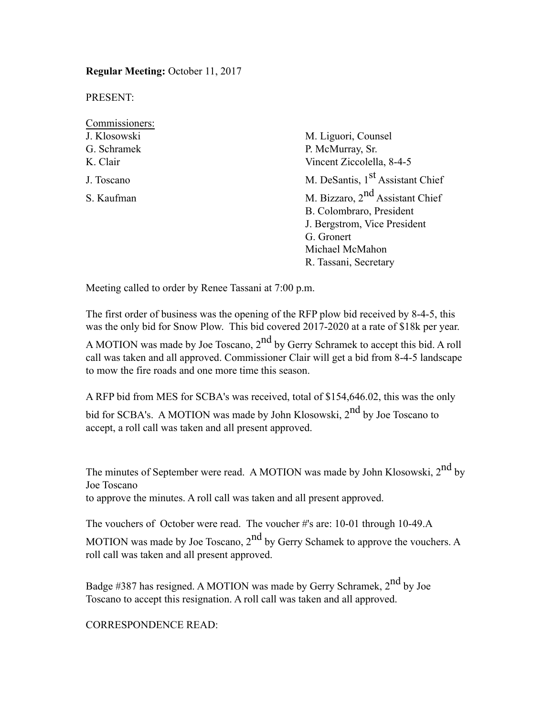**Regular Meeting:** October 11, 2017

PRESENT:

| Commissioners: |                                              |  |  |
|----------------|----------------------------------------------|--|--|
| J. Klosowski   | M. Liguori, Counsel                          |  |  |
| G. Schramek    | P. McMurray, Sr.                             |  |  |
| K. Clair       | Vincent Ziccolella, 8-4-5                    |  |  |
| J. Toscano     | M. DeSantis, 1 <sup>st</sup> Assistant Chief |  |  |
| S. Kaufman     | M. Bizzaro, $2nd$ Assistant Chief            |  |  |
|                | B. Colombraro, President                     |  |  |
|                | J. Bergstrom, Vice President                 |  |  |
|                | G. Gronert                                   |  |  |
|                | Michael McMahon                              |  |  |
|                | R. Tassani, Secretary                        |  |  |

Meeting called to order by Renee Tassani at 7:00 p.m.

The first order of business was the opening of the RFP plow bid received by 8-4-5, this was the only bid for Snow Plow. This bid covered 2017-2020 at a rate of \$18k per year.

A MOTION was made by Joe Toscano,  $2<sup>nd</sup>$  by Gerry Schramek to accept this bid. A roll call was taken and all approved. Commissioner Clair will get a bid from 8-4-5 landscape to mow the fire roads and one more time this season.

A RFP bid from MES for SCBA's was received, total of \$154,646.02, this was the only bid for SCBA's. A MOTION was made by John Klosowski, 2<sup>nd</sup> by Joe Toscano to accept, a roll call was taken and all present approved.

The minutes of September were read. A MOTION was made by John Klosowski,  $2^{nd}$  by Joe Toscano to approve the minutes. A roll call was taken and all present approved.

The vouchers of October were read. The voucher #'s are: 10-01 through 10-49.A MOTION was made by Joe Toscano,  $2<sup>nd</sup>$  by Gerry Schamek to approve the vouchers. A roll call was taken and all present approved.

Badge #387 has resigned. A MOTION was made by Gerry Schramek,  $2<sup>nd</sup>$  by Joe Toscano to accept this resignation. A roll call was taken and all approved.

CORRESPONDENCE READ: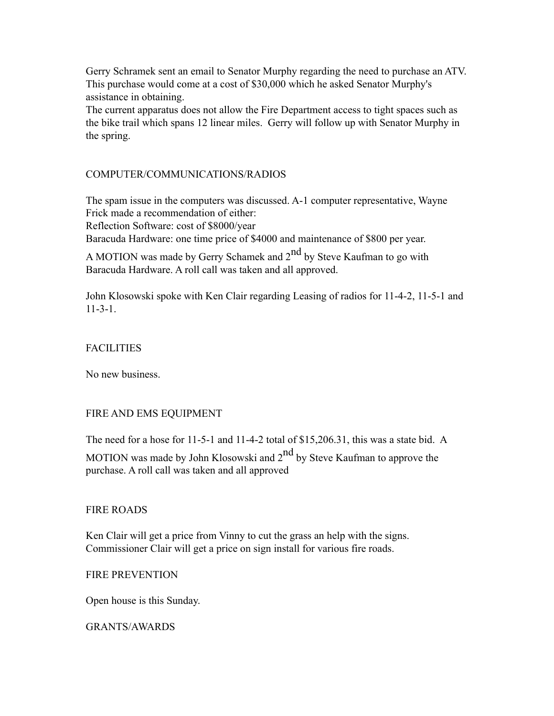Gerry Schramek sent an email to Senator Murphy regarding the need to purchase an ATV. This purchase would come at a cost of \$30,000 which he asked Senator Murphy's assistance in obtaining.

The current apparatus does not allow the Fire Department access to tight spaces such as the bike trail which spans 12 linear miles. Gerry will follow up with Senator Murphy in the spring.

# COMPUTER/COMMUNICATIONS/RADIOS

The spam issue in the computers was discussed. A-1 computer representative, Wayne Frick made a recommendation of either:

Reflection Software: cost of \$8000/year

Baracuda Hardware: one time price of \$4000 and maintenance of \$800 per year.

A MOTION was made by Gerry Schamek and  $2<sup>nd</sup>$  by Steve Kaufman to go with Baracuda Hardware. A roll call was taken and all approved.

John Klosowski spoke with Ken Clair regarding Leasing of radios for 11-4-2, 11-5-1 and 11-3-1.

## **FACILITIES**

No new business.

## FIRE AND EMS EQUIPMENT

The need for a hose for 11-5-1 and 11-4-2 total of \$15,206.31, this was a state bid. A

MOTION was made by John Klosowski and 2<sup>nd</sup> by Steve Kaufman to approve the purchase. A roll call was taken and all approved

## FIRE ROADS

Ken Clair will get a price from Vinny to cut the grass an help with the signs. Commissioner Clair will get a price on sign install for various fire roads.

## FIRE PREVENTION

Open house is this Sunday.

GRANTS/AWARDS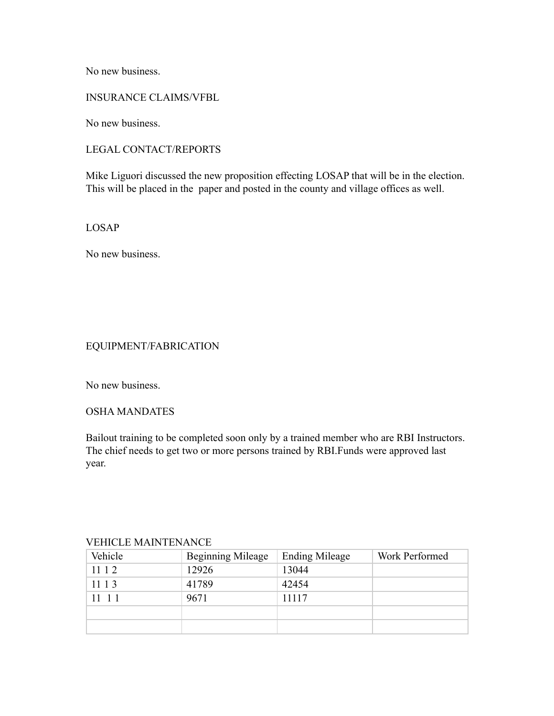No new business.

## INSURANCE CLAIMS/VFBL

No new business.

# LEGAL CONTACT/REPORTS

Mike Liguori discussed the new proposition effecting LOSAP that will be in the election. This will be placed in the paper and posted in the county and village offices as well.

LOSAP

No new business.

## EQUIPMENT/FABRICATION

No new business.

## OSHA MANDATES

Bailout training to be completed soon only by a trained member who are RBI Instructors. The chief needs to get two or more persons trained by RBI.Funds were approved last year.

#### VEHICLE MAINTENANCE

| Vehicle | <b>Beginning Mileage</b> | <b>Ending Mileage</b> | Work Performed |
|---------|--------------------------|-----------------------|----------------|
| 1112    | 12926                    | 13044                 |                |
| 11 1 3  | 41789                    | 42454                 |                |
| 11 1 1  | 9671                     | 11117                 |                |
|         |                          |                       |                |
|         |                          |                       |                |